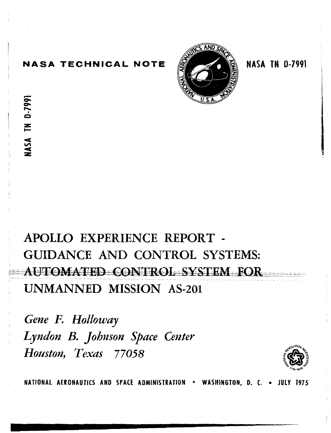# **NASA TECHNICAL NOTE**

NASA TN D-7991



**NASA TN 0-7991** 

# **APOLLO EXPERIENCE REPORT** - **GUIDANCE AND CONTROL SYSTEMS:**  AUTOMATED CONTROL SYSTEM FOR **UNMANNED MISSION AS-201**

*Gene F. Holloway*  Lyndon B. Johnson Space Center *Houston, Texas 77058* 



**NATIONAL AERONAUTICS AND SPACE ADMINISTRATION . WASHINGTON, D. C. . JULY 1975**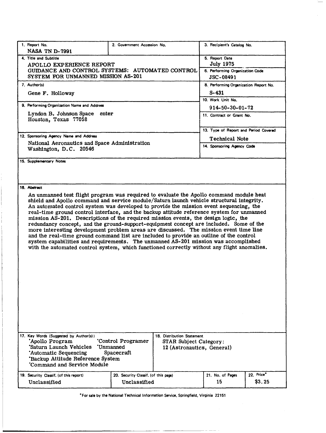| 1. Report No.<br><b>NASA TN D-7991</b>                                                                                                                                                                                                                                                                                                                                                                                                                                                                                                                                                                                                                                                                                                                                                                                                                                                                                              | 2. Government Accession No.                                                        |                                                                                    | 3. Recipient's Catalog No.            |                      |  |  |  |  |  |
|-------------------------------------------------------------------------------------------------------------------------------------------------------------------------------------------------------------------------------------------------------------------------------------------------------------------------------------------------------------------------------------------------------------------------------------------------------------------------------------------------------------------------------------------------------------------------------------------------------------------------------------------------------------------------------------------------------------------------------------------------------------------------------------------------------------------------------------------------------------------------------------------------------------------------------------|------------------------------------------------------------------------------------|------------------------------------------------------------------------------------|---------------------------------------|----------------------|--|--|--|--|--|
| 4. Title and Subtitle<br>APOLLO EXPERIENCE REPORT<br>GUIDANCE AND CONTROL SYSTEMS: AUTOMATED CONTROL<br>SYSTEM FOR UNMANNED MISSION AS-201                                                                                                                                                                                                                                                                                                                                                                                                                                                                                                                                                                                                                                                                                                                                                                                          | 5. Report Date<br><b>July 1975</b><br>6. Performing Organization Code<br>JSC-08491 |                                                                                    |                                       |                      |  |  |  |  |  |
| 7. Author(s)<br>Gene F. Holloway                                                                                                                                                                                                                                                                                                                                                                                                                                                                                                                                                                                                                                                                                                                                                                                                                                                                                                    |                                                                                    | 8. Performing Organization Report No.<br>$S - 431$<br>10. Work Unit No.            |                                       |                      |  |  |  |  |  |
| 9. Performing Organization Name and Address                                                                                                                                                                                                                                                                                                                                                                                                                                                                                                                                                                                                                                                                                                                                                                                                                                                                                         |                                                                                    |                                                                                    | $914 - 50 - 30 - 01 - 72$             |                      |  |  |  |  |  |
| Lyndon B. Johnson Space<br>enter<br>Houston, Texas 77058                                                                                                                                                                                                                                                                                                                                                                                                                                                                                                                                                                                                                                                                                                                                                                                                                                                                            |                                                                                    |                                                                                    | 11. Contract or Grant No.             |                      |  |  |  |  |  |
|                                                                                                                                                                                                                                                                                                                                                                                                                                                                                                                                                                                                                                                                                                                                                                                                                                                                                                                                     |                                                                                    |                                                                                    | 13. Type of Report and Period Covered |                      |  |  |  |  |  |
| 12. Sponsoring Agency Name and Address                                                                                                                                                                                                                                                                                                                                                                                                                                                                                                                                                                                                                                                                                                                                                                                                                                                                                              |                                                                                    |                                                                                    | <b>Technical Note</b>                 |                      |  |  |  |  |  |
| National Aeronautics and Space Administration<br>Washington, D.C. 20546                                                                                                                                                                                                                                                                                                                                                                                                                                                                                                                                                                                                                                                                                                                                                                                                                                                             |                                                                                    |                                                                                    | 14. Sponsoring Agency Code            |                      |  |  |  |  |  |
| 15. Supplementary Notes                                                                                                                                                                                                                                                                                                                                                                                                                                                                                                                                                                                                                                                                                                                                                                                                                                                                                                             |                                                                                    |                                                                                    |                                       |                      |  |  |  |  |  |
|                                                                                                                                                                                                                                                                                                                                                                                                                                                                                                                                                                                                                                                                                                                                                                                                                                                                                                                                     |                                                                                    |                                                                                    |                                       |                      |  |  |  |  |  |
| 16. Abstract                                                                                                                                                                                                                                                                                                                                                                                                                                                                                                                                                                                                                                                                                                                                                                                                                                                                                                                        |                                                                                    |                                                                                    |                                       |                      |  |  |  |  |  |
| An unmanned test flight program was required to evaluate the Apollo command module heat<br>shield and Apollo command and service module/Saturn launch vehicle structural integrity.<br>An automated control system was developed to provide the mission event sequencing, the<br>real-time ground control interface, and the backup attitude reference system for unmanned<br>mission AS-201. Descriptions of the required mission events, the design logic, the<br>redundancy concept, and the ground-support-equipment concept are included. Some of the<br>more interesting development problem areas are discussed. The mission event time line<br>and the real-time ground command list are included to provide an outline of the control<br>system capabilities and requirements. The unmanned AS-201 mission was accomplished<br>with the automated control system, which functioned correctly without any flight anomalies. |                                                                                    |                                                                                    |                                       |                      |  |  |  |  |  |
| 17. Key Words (Suggested by Author(s))<br>'Apollo Program<br>'Saturn Launch Vehicles'<br>'Automatic Sequencing<br>'Backup Attitude Reference System<br>Command and Service Module                                                                                                                                                                                                                                                                                                                                                                                                                                                                                                                                                                                                                                                                                                                                                   | 'Control Programer<br>'Unmanned<br>Spacecraft                                      | 18. Distribution Statement<br>STAR Subject Category:<br>12 (Astronautics, General) |                                       |                      |  |  |  |  |  |
| 19. Security Classif. (of this report)<br>Unclassified                                                                                                                                                                                                                                                                                                                                                                                                                                                                                                                                                                                                                                                                                                                                                                                                                                                                              | 20. Security Classif. (of this page)<br>Unclassified                               |                                                                                    | 21. No. of Pages<br>15                | 22. Price*<br>\$3.25 |  |  |  |  |  |

**\*For sale by the National Technical Information Service, Springfield, Virginia 22151**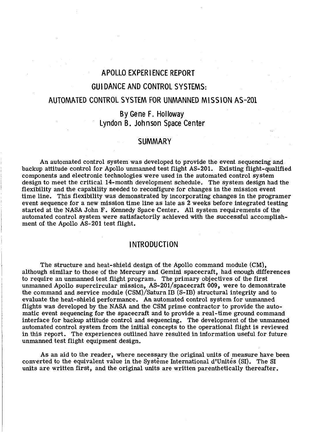# **APOLLO EXPERI ENCE REPORT**

# **GUI DANCE AND CONTROL SYSTEMS:**

#### **AUTOMATED CONTROL SYSTEM FOR UNMANNED MISSION AS-201**

# **By Gene F. Holloway Lyndon 6. Johnson Space Center**

### **SUMMARY**

An automated control system was developed to provide the event sequencing and backup attitude control for Apollo unmanned test flight AS-201. Existing flight-qualified components and electronic technologies were used in the automated control system design to meet the critical 14-month development schedule. The system design had the flexibility and the capability needed to reconfigure for changes in the mission event time line. This flexibility was demonstrated **by** incorporating changes in the programer event sequence for a new mission time line as late as 2 weeks before integrated testing started at the NASA John F. Kennedy Space Center. All system requirements of the automated control system were satisfactorily achieved with the successful accomplishment of the Apollo AS-201 test flight.

## **INTRODUCTION**

The structure and heat-shield design of the Apollo command module (CM), although similar to those of the Mercury and Gemini spacecraft, had enough differences to require an unmanned test flight program. The primary objectives of the first unmanned Apollo supercircular mission, AS-20l/spacecraft 009, were to demonstrate the command and service module (CSM)/Saturn IB (S-IB) structural integrity and to evaluate the heat-shield performance. An automated control system for unmanned flights was developed by the NASA and the CSM prime contractor to provide the automatic event sequencing for the spacecraft and to provide a real-time ground command interface for backup attitude control and sequencing. The development of the unmanned automated control system from the initial concepts to the operational flight is reviewed in this report. The experiences outlined have resulted in information useful for future unmanned test flight equipment design.

As an aid to the reader, where necessary the original units of measure have been converted to the equivalent value in the Système International d'Unités (SI). The SI units are written first, and the original units are written parenthetically thereafter.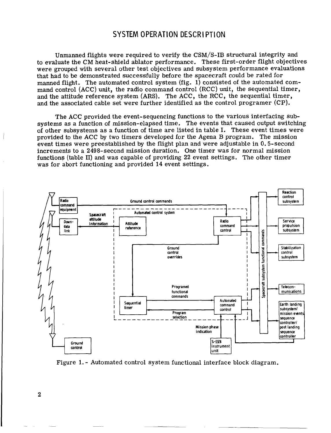## **SYSTEM OPERATION DESCRI PTION**

Unmanned flights were required to verify the **CSM/S-IB** structural integrity and to evaluate the **CM** heat-shield ablator performance. These first-order flight objectives were grouped with several other test objectives and subsystem performance evaluations that had to be demonstrated successfully before the spacecraft could be rated for manned flight. The automated control system (fig. 1) consisted of the automated command control **(ACC)** unit, the radio command control **(RCC)** unit, the sequential timer, and the attitude reference system **(ARS).** The **ACC,** the **RCC,** the sequential timer, and the associated cable set were further identified as the control programer **(CP).** 

The **ACC** provided the event-sequencing functions to the various interfacing subsystems as a function of mission-elapsed time. The events that caused output switching of other subsystems as a function of time are listed in table **I.** These event times were provided to the **ACC** by two timers developed for the Agena B program. The mission event times were preestablished by the flight plan and were adjustable in 0.5-second increments to a 2498-second mission duration. One timer was for normal mission functions (table II) and was capable of providing 22 event settings. The other timer was for abort functioning and provided 14 event settings.



Figure 1. - Automated control system functional interface block diagram.

**2**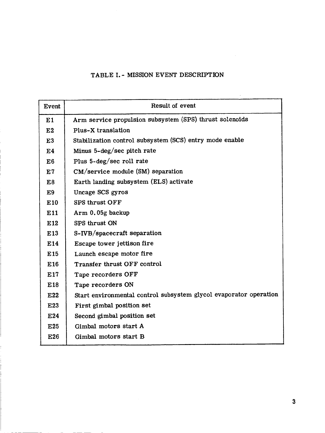# TABLE I. - MISSION EVENT DESCRIPTION

| Event           | Result of event                                                   |
|-----------------|-------------------------------------------------------------------|
| E1              | Arm service propulsion subsystem (SPS) thrust solenoids           |
| E2              | Plus-X translation                                                |
| E3              | Stabilization control subsystem (SCS) entry mode enable           |
| E <sub>4</sub>  | Minus 5-deg/sec pitch rate                                        |
| E6              | Plus 5-deg/sec roll rate                                          |
| E7              | CM/service module (SM) separation                                 |
| E8              | Earth landing subsystem (ELS) activate                            |
| E9              | Uncage SCS gyros                                                  |
| E10             | <b>SPS thrust OFF</b>                                             |
| E11             | Arm 0.05g backup                                                  |
| E12             | SPS thrust ON                                                     |
| E13             | S-IVB/spacecraft separation                                       |
| E14             | Escape tower jettison fire                                        |
| E <sub>15</sub> | Launch escape motor fire                                          |
| E <sub>16</sub> | Transfer thrust OFF control                                       |
| E17             | Tape recorders OFF                                                |
| E18             | Tape recorders ON                                                 |
| E22             | Start environmental control subsystem glycol evaporator operation |
| E23             | First gimbal position set                                         |
| E24             | Second gimbal position set                                        |
| E25             | Gimbal motors start A                                             |
| E26             | Gimbal motors start B                                             |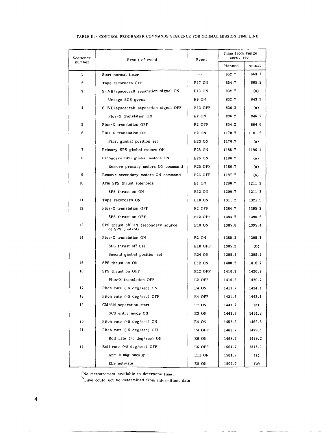| Sequence     | Result of event                                        | Event             | Time from range<br>zero, sec |        |  |  |
|--------------|--------------------------------------------------------|-------------------|------------------------------|--------|--|--|
| number       |                                                        |                   | Planned                      | Actual |  |  |
| $\mathbf{1}$ | Start normal timer                                     |                   | 652.7                        | 663.1  |  |  |
| $\mathbf 2$  | Tape recorders OFF                                     | E17 ON            | 654.7                        | 665.2  |  |  |
| 3            | S-IVB/spacecraft separation signal ON                  | E13 ON            | 832.7                        | (a)    |  |  |
|              | Uncage SCS gyros                                       | E9 ON             | 832.7                        | 843.2  |  |  |
| 4            | S-IVB/spacecraft separation signal OFF                 | E13 OFF           | 836.2                        | (a)    |  |  |
|              | Plus-X translation ON                                  | E <sub>2</sub> ON | 836.2                        | 846.7  |  |  |
| 5            | Plus-X translation OFF                                 | E2 OFF            | 854.2                        | 864.6  |  |  |
| 6            | Plus-X translation ON                                  | E <sub>2</sub> ON | 1170.7                       | 1181.2 |  |  |
|              | First gimbal position set                              | E23 ON            | 1170.7                       | (a)    |  |  |
| 7            | Primary SPS gimbal motors ON                           | E25 ON            | 1185.7                       | 1196.1 |  |  |
| 8            | Secondary SPS gimbal motors ON                         | E26 ON            | 1186.7                       | (a)    |  |  |
|              | Remove primary motors ON command                       | E25 OFF           | 1186 7                       | (a)    |  |  |
| 9            | Remove secondary motors ON command                     | E26 OFF           | 1187.7                       | (a)    |  |  |
| 10           | Arm SPS thrust solenoids                               | E1 ON             | 1200.7                       | 1211.2 |  |  |
|              | SPS thrust on ON                                       | E12 ON            | 1200.7                       | 1211 2 |  |  |
| 11           | Tape recorders ON                                      | E18 ON            | 1311.2                       | 1321.9 |  |  |
| 12           | Plus-X translation OFF                                 | E2 OFF            | 1384.7                       | 1395.2 |  |  |
|              | SPS thrust on OFF                                      | E12 OFF           | 1384.7                       | 1395.2 |  |  |
| 13           | SPS thrust off ON (secondary source<br>of SPS control) | E10 ON            | 1385.0                       | 1395.4 |  |  |
| 14           | Plus-X translation ON                                  | E <sub>2</sub> ON | 1385.2                       | 1395.7 |  |  |
|              | SPS thrust off OFF                                     | E10 OFF           | 1385.2                       | (b)    |  |  |
|              | Second gimbal position set                             | E24 ON            | 1385.2                       | 1395.7 |  |  |
| 15           | SPS thrust on ON                                       | E12 ON            | 1400.2                       | 1410.7 |  |  |
| 16           | SPS thrust on OFF                                      | E12 OFF           | 1410.2                       | 1420.7 |  |  |
|              | Plus-X translation OFF                                 | E2 OFF            | 1410.2                       | 1420.7 |  |  |
| 17           | Pitch rate $(-5 \text{ deg/sec})$ ON                   | E4 ON             | 1413.7                       | 1424.1 |  |  |
| 18           | Pitch rate (-5 deg/sec) OFF                            | E4 OFF            | 1431.7                       | 1442.1 |  |  |
| 19           | CM/SM separation start                                 | E7 ON             | 1443.7                       | (a)    |  |  |
|              | SCS entry mode ON                                      | E3 ON             | 1443.7                       | 1454.2 |  |  |
| 20           | Pitch rate (-5 deg/sec) ON                             | E4 ON             | 1452.2                       | 1462.6 |  |  |
| 21           | Pitch rate (-5 deg/sec) OFF                            | E4 OFF            | 1468.7                       | 1479.1 |  |  |
|              | Roll rate (+5 deg/sec) ON                              | E6 ON             | 1468.7                       | 1479.2 |  |  |
| 22           | Roll rate (+5 deg/sec) OFF                             | E6 OFF            | 1504.7                       | 1515.1 |  |  |
|              | Arm 0.05g backup                                       | E11 ON            | 1504.7                       | (a)    |  |  |
|              | ELS activate                                           | E8 ON             | 1504.7                       | (b)    |  |  |

#### TABLE **11** .- CONTROL PROGRAMER COMMANDS SEQUENCE FOR NORMAL MISSION **TIME** LINE

a<sub>No</sub> measurement available to determine time.

b<sub>Time</sub> could not be determined from intermittent data.

 $\bar{1}$ 

j

Ť

 $\overline{\phantom{a}}$ 

 $\frac{1}{2}$ 

 $\overline{1}$  $\overline{1}$ 

 $\mid$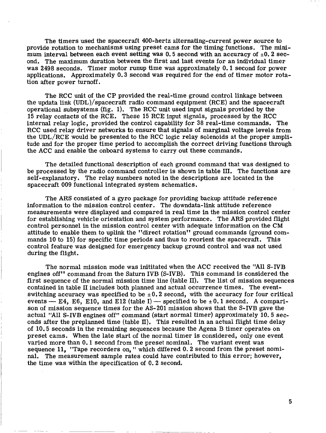The timers used the spacecraft 400-hertz alternating-current power source to provide rotation to mechanisms using preset cams for the timing functions. The **mini**mum interval between each event setting was 0.5 second with an accuracy of  $\pm 0.2$  second. The maximum duration between the first and last events for an individual timer was 2498 seconds. Timer motor runup time was approximately 0.1 second for power applications. Approximately 0.3 second was required for the end of timer motor rotation after power turnoff.

The RCC unit of the CP provided the real-time ground control linkage between the updata link (UDL)/spacecraft radio command equipment (RCE) and the spacecraft operational subsystems (fig. 1). The RCC unit used input signals provided by the 15 relay contacts of the RCE. These 15 RCE input signals, processed by the RCC internal relay logic, provided the control capability for 38 real-time commands. The RCC used relay driver networks to ensure that signals of marginal voltage levels from the UDL/RCE would be presented to the RCC logic relay solenoids at the proper amplitude and for the proper time period to accomplish the correct driving functions through the ACC and enable the onboard systems to carry out these commands.

The detailed functional description of each ground command that was designed to be processed by the radio command controller is shown in table **111.** The functions are self-explanatory. The relay numbers noted in the descriptions are located in the spacecraft 009 functional integrated system schematics.

The ARS consisted of a gyro package for providing backup attitude reference information to the mission control center. The downdata-link attitude reference measurements were displayed and compared in real time in the mission control center for establishing vehicle orientation and system performance. The ARS provided flight control personnel in the mission control center with adequate information on the CM attitude to enable them to uplink the "direct rotation" ground commands (ground commands 10 to 15) for specific time periods and thus to reorient the spacecraft. This control feature was designed for emergency backup ground control and was not used during the flight.

The normal mission mode was inititated when the ACC received the "All **S-IVB**  engines off" command from the Saturn **IVB (S-IVB).** This command is considered the first sequence of the normal mission time line (table **11).** The list of mission sequences contained in table **I1** includes both planned and actual occurrence times. The eventswitching accuracy was specified to be  $\pm 0.2$  second, with the accuracy for four critical events  $- E4$ , E6, E10, and E12 (table I)  $-$  specified to be  $\pm 0.1$  second. A comparison of mission sequence times for the AS-201 mission shows that the **S-NB** gave the actual "All **S-IVB** engines off" command (start normal timer) approximately 10.5 seconds after the preplanned time (table II). This resulted in an actual flight time delay of 10.5 seconds in the remaining sequences because the Agena B timer operates on preset cams. When the late start of the normal timer is considered, only one event varied more than 0.1 second from the preset nominal. The variant event was sequence 11, "Tape recorders on, " which differed 0.2 second from the preset nominal. The measurement sample rates could have contributed to this error; however, the time was within the specification of 0.2 second.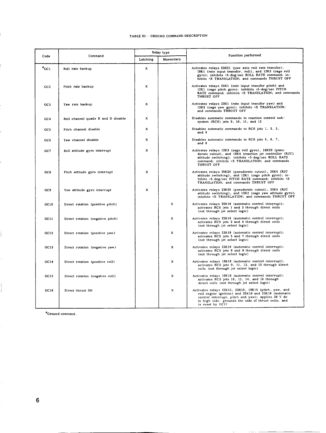#### TABLE **111.-** GROUND COMMAND DESCRIPTION

|                 | Command                            |                       | Relay type | Function performed                                                                                                                                                                                                                             |  |  |  |  |  |
|-----------------|------------------------------------|-----------------------|------------|------------------------------------------------------------------------------------------------------------------------------------------------------------------------------------------------------------------------------------------------|--|--|--|--|--|
| Code            |                                    | Latching<br>Momentary |            |                                                                                                                                                                                                                                                |  |  |  |  |  |
| $^a$ GC1        | Roll rate backup                   | x                     |            | Activates relays 23K21 (yaw axis roll rate transfer),<br>19K1 (rate input transfer, roll), and 12K3 (cage roll<br>gyro); inhibits +5-deg/sec ROLL RATE command; in-<br>hibits +X TRANSLATION; and commands THRUST OFF                          |  |  |  |  |  |
| GC2             | Pitch rate backup                  | x                     |            | Activates relays 25K1 (rate input transfer pitch) and<br>12K1 (cage pitch gyro); inhibits ±5-deg/sec PITCH<br>RATE command; inhibits +X TRANSLATION; and commands<br>THRUST OFF                                                                |  |  |  |  |  |
| GC3             | Yaw rate backup                    | x                     |            | Activates relays 23K1 (rate input transfer yaw) and<br>12K2 (cage yaw gyro); inhibits +X TRANSLATION;<br>and commands THRUST OFF                                                                                                               |  |  |  |  |  |
| GC4             | Roll channel quads B and D disable | X                     |            | Disables automatic commands to reaction control sub-<br>system (RCS) jets 9, 10, 11, and 12                                                                                                                                                    |  |  |  |  |  |
| GC5             | Pitch channel disable              | x                     |            | Disables automatic commands to RCS jets 1, 2, 3,<br>and 4                                                                                                                                                                                      |  |  |  |  |  |
| GC6             | Yaw channel disable                | $\mathbf{x}$          |            | Disables automatic commands to RCS jets 5, 6, 7,<br>and 8                                                                                                                                                                                      |  |  |  |  |  |
| GC7             | Roll attitude gyro interrupt       | $\mathbf{x}$          |            | Activates relays 12K3 (cage roll gyro), 19K20 (pseu-<br>dorate cutout), and 19K4 (reaction jet controller (RJC)<br>attitude switching); inhibits +5-deg/sec ROLL RATE<br>command; inhibits +X TRANSLATION; and commands<br>THRUST OFF          |  |  |  |  |  |
| CC8             | Pitch attitude gyro interrupt      | $\mathbf x$           |            | Activates relays 25K20 (pseudorate cutout), 25K4 (RJC<br>attitude switching), and 12K1 (cage pitch gyro); in-<br>hibits +5-deg/sec PITCH RATE command; inhibits +X<br>TRANSLATION; and commands THRUST OFF                                     |  |  |  |  |  |
| GC <sub>9</sub> | Yaw attitude gyro interrupt        | X                     |            | Activates relays 23K20 (pseudorate cutout), 23K4 (RJC<br>attitude switching), and 12K2 (cage yaw attitude gyro);<br>inhibits +X TRANSLATION; and commands THRUST OFF                                                                           |  |  |  |  |  |
| GC10            | Direct rotation (positive pitch)   |                       | X          | Activates relays 25K18 (automatic control interrupt);<br>activates RCS jets 1 and 3 through direct coils<br>(not through jet select logic)                                                                                                     |  |  |  |  |  |
| GCI1            | Direct rotation (negative pitch)   |                       | x          | Activates relays 25K18 (automatic control interrupt);<br>activates RCS jets 2 and 4 through direct coils<br>(not through jet select logic)                                                                                                     |  |  |  |  |  |
| GC12            | Direct rotation (positive yaw)     |                       | X          | Activates relays 23K18 (automatic control interrupt);<br>activates RCS jets 5 and 7 through direct coils<br>(not through jet select logic)                                                                                                     |  |  |  |  |  |
| GC13            | Direct rotation (negative yaw)     |                       | x          | Activates relays 23K18 (automatic control interrupt);<br>activates RCS jets 6 and 8 through direct coils<br>(not through jet select logic)                                                                                                     |  |  |  |  |  |
| GC14            | Direct rotation (positive roll)    |                       | x          | Activates relays 19K18 (automatic control interrupt);<br>activates RCS jets 9, 11, 13, and 15 through direct<br>coils (not through jet select logic)                                                                                           |  |  |  |  |  |
| GC15            | Direct rotation (negative roll)    |                       | x          | Activates relays 19K18 (automatic control interrupt);<br>activates RCS jets 10, 12, 14, and 16 through<br>direct coils (not through jet select logic)                                                                                          |  |  |  |  |  |
| GC16            | Direct thrust ON                   |                       | x          | Activates relays 25K15, 23K15, 19K15 (pitch, yaw, and<br>roll engine ignition) and 25K18 and 23K18 (automatic<br>control interrupt, pitch and yaw); applies 28 V dc<br>to high side; grounds the side of thrust coils; and<br>is reset by GC17 |  |  |  |  |  |

 $\sim$  -------

<sup>8</sup>Ground command.

**6** 

ľ

Ī.

Ĺ,

l,

 $\begin{array}{c} \begin{array}{c} \begin{array}{c} \end{array} \\ \begin{array}{c} \end{array} \end{array} \end{array}$ 

 $\hat{\mathbf{r}}$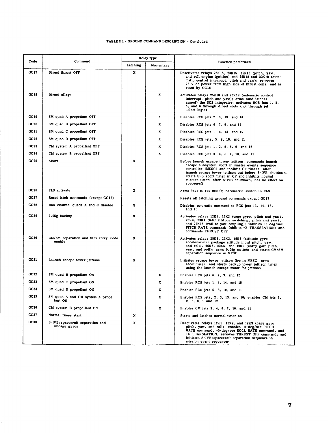#### TABLE 111 .- GROUND COMMAND DESCRIPTION - Concluded

|                  |                                                 | Relay type                |           |                                                                                                                                                                                                                                                                                                                                                   |  |  |  |  |
|------------------|-------------------------------------------------|---------------------------|-----------|---------------------------------------------------------------------------------------------------------------------------------------------------------------------------------------------------------------------------------------------------------------------------------------------------------------------------------------------------|--|--|--|--|
| Code             | Command                                         | Latching                  | Momentary | <b>Function performed</b>                                                                                                                                                                                                                                                                                                                         |  |  |  |  |
| GC17             | Direct thrust OFF                               | x                         |           | Deactivates relays 25K15, 23K15, 19K15 (pitch, yaw,<br>and roll engine ignition) and 25K18 and 23K18 (auto-<br>matic control interrupt, pitch and yaw); removes<br>28-V de power from high side of thrust coils; and is<br>reset by GC16                                                                                                          |  |  |  |  |
| GC18             | Direct ullage                                   |                           | x         | Activates relays 25K18 and 23K18 (automatic control<br>interrupt, pitch and yaw); arms (and latches<br>armed) the SCS integrator; activates RCS jets 1, 2,<br>5, and 6 through direct coils (not through jet<br>select logic)                                                                                                                     |  |  |  |  |
| GC19             | SM quad A propellant OFF                        |                           | x         | Disables RCS jets 2, 3, 13, and 16                                                                                                                                                                                                                                                                                                                |  |  |  |  |
| GC20             | SM quad B propellant OFF                        |                           | x         | Disables RCS jets 6, 7, 9, and 12                                                                                                                                                                                                                                                                                                                 |  |  |  |  |
| GC21             | SM quad C propellant OFF                        |                           | x         | Disables RCS jets 1, 4, 14, and 15                                                                                                                                                                                                                                                                                                                |  |  |  |  |
| GC22             | SM quad D propellant OFF                        |                           | x         | Disables RCS jets, 5, 8, 10, and 11                                                                                                                                                                                                                                                                                                               |  |  |  |  |
| GC23             | CM system A propellant OFF                      |                           | x         | Disables RCS jets 1, 2, 5, 8, 9, and 12                                                                                                                                                                                                                                                                                                           |  |  |  |  |
| GC24             | CM system B propellant OFF                      |                           | x         | Disables RCS jets 3, 4, 6, 7, 10, and 11                                                                                                                                                                                                                                                                                                          |  |  |  |  |
| GC25             | Abort                                           | x                         |           | Before launch escape tower jettison, commands launch<br>escape subsystem abort in master events sequence<br>controller (MESC) and inhibits CP timers: after<br>launch escape tower jettison but before S-IVB shutdown,<br>starts SPS abort timer in CP and inhibits normal<br>mission timer; after S-IVB shutdown, has no effect on<br>spacecraft |  |  |  |  |
| GC26             | ELS activate                                    | x                         |           | Arms 7620-m (25 000 ft) barometric switch in ELS                                                                                                                                                                                                                                                                                                  |  |  |  |  |
| GC 27            | Reset latch commands (except GC17)              |                           | x         | Resets all latching ground commands except GC17                                                                                                                                                                                                                                                                                                   |  |  |  |  |
| GC <sub>28</sub> | Roll channel quads A and C disable              | x                         |           | Disables automatic command to RCS jets 13, 14, 15,<br>and 16                                                                                                                                                                                                                                                                                      |  |  |  |  |
| GC29             | 0.05g backup                                    | x                         |           | Activates relays 12K1, 12K2 (cage gyro, pitch and yaw),<br>25K4, 23K4 (RJC attitude switching, pitch and yaw),<br>and 23K16 (roll to yaw coupling); inhibits ±5-deg/sec<br>PITCH RATE command; inhibits +X TRANSLATION; and<br>commands THRUST OFF                                                                                                |  |  |  |  |
| GC30             | CM/SM separation and SCS entry mode<br>enable   | x                         |           | Activates relays 25K3, 23K3, 19K3 (attitude gyro<br>accelerometer package attitude input pitch, yaw,<br>and roll), 25K5, 23K5, and 19K5 (entry gain pitch,<br>yaw, and roll); arms 0.05g switch; and starts CM/SM<br>separation sequence in MESC                                                                                                  |  |  |  |  |
| GC31             | Launch escape tower jettison                    | $\boldsymbol{\mathrm{x}}$ |           | Initiates escape tower jettison fire in MESC; arms<br>abort timer; and starts backup tower jettison timer<br>using the launch escape motor for jettison                                                                                                                                                                                           |  |  |  |  |
| GC32             | SM quad B propellant ON                         |                           | x         | Enables RCS jets 6, 7, 9, and 12                                                                                                                                                                                                                                                                                                                  |  |  |  |  |
| GC33             | SM quad C propellant ON                         |                           | x         | Enables RCS jets 1, 4, 14, and 15                                                                                                                                                                                                                                                                                                                 |  |  |  |  |
| GC34             | SM quad D propellant ON                         |                           | x         | Enables RCS jets 5, 8, 10, and 11                                                                                                                                                                                                                                                                                                                 |  |  |  |  |
| GC35             | SM quad A and CM system A propel-<br>lant ON    |                           | x         | Enables RCS jets, 2, 3, 13, and 16; enables CM jets 1,<br>2.5.8.9 and 12                                                                                                                                                                                                                                                                          |  |  |  |  |
| GC 36            | CM system B propellant ON                       |                           | x         | Enables CM jets 3, 4, 6, 7, 10, and 11                                                                                                                                                                                                                                                                                                            |  |  |  |  |
| GC37             | Normal timer start                              | x                         |           | Starts and latches normal timer on                                                                                                                                                                                                                                                                                                                |  |  |  |  |
| GC38             | S-IVB/spacecraft separation and<br>uncage gyros | X                         |           | Deactivates relays 12K1, 12K2, and 12K3 (cage gyro<br>pitch, yaw, and roll), enables -5-deg/sec PITCH<br>RATE command, +5-deg/sec ROLL RATE command, and<br>+X TRANSLATION; removes THRUST OFF command; and<br>initiates S-IVB/spacecraft separation sequence in<br>mission event sequencer                                                       |  |  |  |  |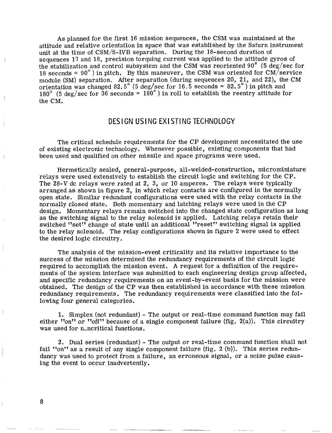**As** planned for the first 16 mission sequences, the CSM was maintained at the attitude and relative orientation in space that was established by the Saturn instrument unit at the time of CSM/S-IVB separation. During the 18-second duration of sequences 17 and 18, precision torquing current was applied to the attitude gyros of the stabilization and control subsystem and the CSM was reoriented 90" **(5** deg/sec for 18 seconds =  $90^{\circ}$ ) in pitch. By this maneuver, the CSM was oriented for CM/service module (SM) separation. After separation (during sequences 20, 21, and 22), the CM orientation was changed  $82.5^{\circ}$  (5 deg/sec for 16.5 seconds =  $82.5^{\circ}$ ) in pitch and 180" **(5** deg/sec for 36 seconds = 180" ) in roll to establish the reentry attitude for the CM.

# DESIGN USING EXISTING TECHNOLOGY

The critical schedule requirements for the CP development necessitated the use of existing electronic technology. Whenever possible, existing components that had been used and qualified on other missile and space programs were used.

Hermetically sealed, general-purpose, all-welded-construction, microminiature relays were used extensively to establish the circuit logic and switching for the **CP.**  The 28-V dc relays were rated at 2, 3, or 10 amperes. The relays were typically arranged as shown in figure 2, in which relay contacts are configured in the normally open state. Similar redundant configurations were used with the relay contacts in the normally closed state. Both momentary and latching relays were used in the CP design. Momentary relays remain switched into the changed state configuration as long as the switching signal to the relay solenoid is applied. Latching relays retain their switched "set" change of state until an additional "reset" switching signal is applied to the relay solenoid. The relay configurations shown in figure 2 were used to effect the desired logic circuitry.

The analysis of the mission-event criticality and its relative importance to the success of the mission determined the redundancy requirements of the circuit logic required to accomplish the mission event. **A** request for a definition of the requirements of the system interface was submitted to each engineering design group affected, and specific redundancy requirements on an event-by-event basis for the mission were obtained. The design of the CP was then established in accordance with these mission redundancy requirements. The redundancy requirements were classified into the following four general categories.

1. Simplex (not redundant) - The output or real-time command function may fail either "on" or "off" because of a single component failure (fig.  $2(a)$ ). This circuitry was used for noncritical functions.

2. Dual series (redundant) - The output or real-time command function shall not fail "on" as a result of any single component failure (fig. 2 (b)). This series redundancy was used to protect from a failure, an erroneous signal, or a noise pulse causing the event to occur inadvertently.

**8**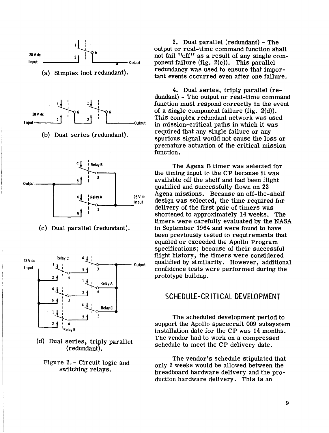

switching relays.

3. Dual parallel (redundant) - The output or real-time command function shall not fail "off" as a result of any single component failure (fig. 2(c)). This parallel redundancy was used to ensure that important events occurred even after one failure.

4. Dual series, triply parallel (redundant) - The output or real-time command function must respond correctly in the event of a single component failure (fig, 2(d)). **This complex redundant network was used** in mission-critical paths in which it was required that any single failure or any spurious signal would not cause the loss or premature actuation of the critical mission function.

The Agena B timer was selected for the timing input to the CP because it was available off the shelf and had been flight qualified and successfully flown on 22 Agena missions. Because an off-the-shelf design was selected, the time required for delivery of the first pair of timers was shortened to approximately 14 weeks. The timers were carefully evaluated **by** the NASA in September 1964 and were found to have been previously tested to requirements that equaled or exceeded the Apollo Program specifications; because of their successful flight history, the timers were considered qualified by similarity. However, additional confidence tests were performed during the prototype buildup.

# SCHEDULE-CRITI CAL DEVELOPMENT

The scheduled development period to support the Apollo spacecraft 009 subsystem installation date for the CP was 14 months. The vendor had to work on a compressed schedule to meet the CP delivery date.

The vendor's schedule stipulated that only 2 weeks would be allowed between the breadboard hardware delivery and the production hardware delivery. This is an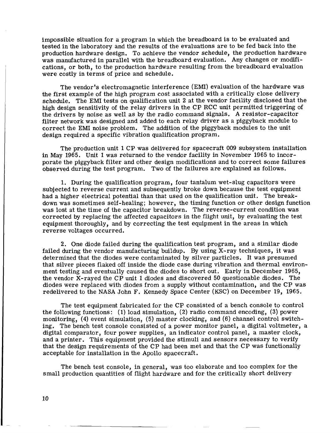impossible situation for a program in which the breadboard is to be evaluated and tested in the laboratory and the results of the evaluations are to be fed back into the production hardware design. To achieve the vendor schedule, the production hardware was manufactured in parallel with the breadboard evaluation. Any changes or modifications, or both, to the production hardware resulting from the breadboard evaluation were costly in terms of price and schedule.

The vendor's electromagnetic interference (EMI) evaluation of the hardware was the first example of the high program cost associated with a critically close delivery schedule. The EM1 tests on qualification unit 2 at the vendor facility disclosed that the high design sensitivity of the relay drivers in the CP RCC unit permitted triggering of the drivers by noise as well as by the radio command signals. A resistor-capacitor filter network was designed and added to each relay driver as a piggyback module to correct the EM1 noise problem. The addition of the piggyback modules to the unit design required a specific vibration qualification program.

The production unit 1 CP was delivered for spacecraft 009 subsystem installation in May 1965. Unit 1 was returned to the vendor facility in November 1965 to incorporate the piggyback filter and other design modifications and to correct some failures observed during the test program. Two of the failures are explained as follows.

1. During the qualification program, four tantalum wet-slug capacitors were subjected to reverse current and subsequently broke down because the test equipment had a higher electrical potential than that used on the qualification unit. The breakdown was sometimes self-healing; however, the timing function or other design function was lost at the time of the capacitor breakdown. The reverse-current condition was corrected by replacing the affected capacitors in the flight unit, by evaluating the test equipment thoroughly, and by correcting the test equipment in the areas in which reverse voltages occurred.

2. One diode failed during the qualification test program, and a similar diode failed during the vendor manufacturing buildup, By using X-ray techniques, it was determined that the diodes were contaminated by silver particles. It was presumed that silver pieces flaked off inside the diode case during vibration and thermal environment testing and eventually caused the diodes to short out. Early in December 1965, the vendor X-rayed the CP unit 1 diodes and discovered 50 questionable diodes. The diodes were replaced with diodes from a supply without contamination, and the CP was redelivered to the NASA John F. Kennedy Space Center (KSC) on December 19, 1965.

The test equipment fabricated for the CP consisted of a bench console to control the following functions: (1) load simulation, (2) radio command encoding, **(3)** power monitoring, **(4)** event simulation, (5) master clocking, and (6) channel control switching. The bench test console consisted of a power monitor panel, a digital voltmeter, **a**  digital comparator, four power supplies, an indicator control panel, a master clock, and a printer. This equipment provided the stimuli and sensors necessary to verify that the design requirements of the CP had been met and that the CP was functionally acceptable for installation in the Apollo spacecraft.

The bench test console, in general, was too elaborate and too complex for the small production quantities of flight hardware and for the critically short delivery

10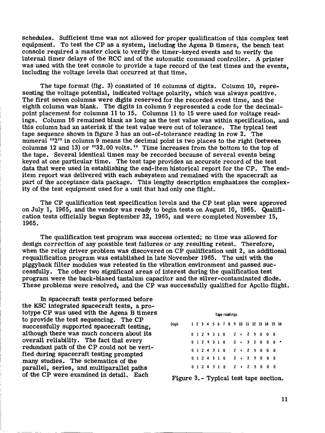schedules. Sufficient time was not allowed for proper qualification of this complex test equipment. To test the CP as a system, including the Agena B timers, the bench test console required a master clock to verify the timer-keyed events and to verify the internal timer delays of the RCC and of the automatic command controller. A printer was used with the test console to provide a tape record of the test times and the events, including the voltage levels that occurred at that time.

The tape format (fig. **3)** consisted of **16** columns of digits. Column **10,** representing the voltage potential, indicated voltage polarity, which was always positive. The first seven columns were digits reserved for the recorded event time, and the eighth column was blank. The digits in column 9 represented a code for the decimalpoint placement for columns 11 to 15. Columns 11 to 15 were used for voltage readings. Column **16** remained blank as long as the test value was within specification, *mci*  this column had an asterisk if the test value were out of tolerance. The typical test tape sequence shown in figure **3** has an out-of-tolerance reading in row **2.** The numeral **''2''** in column 9 means the decimal point is two places to the right (between columns **12** and **13)** or **?'32.00** volts. **tt** Time increases from the bottom to the top of the tape. Several identical times may be recorded because of several events being keyed at one particular time. The test tape provides an accurate record of the test data that were used in establishing the end-item historical report for the CP. The enditem report was delivered with each subsystem and remained with the spacecraft as part of the acceptance data package. **This** lengthy description emphasizes the complexity of the test equipment used for a unit that had only one flight.

The CP qualification test specification levels and the CP test plan were approved on July **1, 1965,** and the vendor was ready to begin tests on August **10, 1965.** Qualification tests officially began September **22, 1965,** and were completed November **15, 1965.** 

The qualification test program was success oriented; no time was allowed for design correction of any possible test failures or any resulting retest. Therefore, when the relay driver problem was discovered on CP qualification unit **2,** an additional requalification program was established in late November **1965.** The unit with the piggyback filter modules was retested in the vibration environment and passed successfully. The other two significant areas of interest during the qualification test program were the back-biased tantalum capacitor and the silver-contaminated diode. These problems were resolved, and the CP was successfully qualified for Apollo flight.

In spacecraft tests performed before the KSC integrated spacecraft tests, a prototype CP was used with the Agena B timers to provide the test sequencing. The CP successfully supported spacecraft testing, although there was much concern about its overall reliability. The fact that every redundant path of the CP could not be verified during spacecraft testing prompted many studies. The schematics of the parallel, series, and multiparallel paths of the CP were examined in detail. Each

| Tape readings |  |  |  |  |  |  |  |  |  |  |  |                                        |  |
|---------------|--|--|--|--|--|--|--|--|--|--|--|----------------------------------------|--|
| Diait         |  |  |  |  |  |  |  |  |  |  |  | 1 2 3 4 5 6 7 8 9 10 11 12 13 14 15 16 |  |
|               |  |  |  |  |  |  |  |  |  |  |  | 0129310 2 + 25000                      |  |
|               |  |  |  |  |  |  |  |  |  |  |  | $0 1 2 9 3 1 0 2 + 3 2 0 0 0$          |  |
|               |  |  |  |  |  |  |  |  |  |  |  | 0 1 2 4 3 1 0 2 + 2 5 0 0 0            |  |
|               |  |  |  |  |  |  |  |  |  |  |  | 0 1 2 4 3 1 0 2 + 2 5 0 0 0            |  |
|               |  |  |  |  |  |  |  |  |  |  |  | 0 1 2 4 3 1 0 2 + 2 5 0 0 0            |  |

Figure **3.-** Typical test tape section,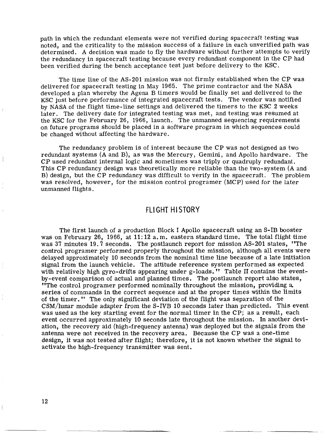path in which the redundant elements were not verified during spacecraft testing was noted, and the criticality to the mission success of a failure in each unverified path was determined. A decision was made to fly the hardware without further attempts to verify the redundancy in spacecraft testing because every redundant component in the CP had been verified during the bench acceptance test just before delivery to the KSC.

The time line of the AS-201 mission was not firmly established when the CP was delivered for spacecraft testing in May 1965. The prime contractor and the NASA developed a plan whereby the Agena B timers would be finally set and delivered to the KSC just before performance of integrated spacecraft tests. The vendor was notified by **NASA** of the flight time-line settings and delivered the timers to the KSC **2** weeks later. The delivery date for integrated testing was met, and testing was resumed at the KSC for the February 26, 1966, launch. The unmanned sequencing requirements on future programs should be placed in a software program in which sequences could be changed without affecting the hardware.

The redundancy problem is of interest because the CP was not designed as two redundant systems (A and B), as was the Mercury, Gemini, and Apollo hardware. The CP used redundant internal logic and sometimes was triply or quadruply redundant. This CP redundancy design was theoretically more reliable than the two-system (A and B) design, but the CP redundancy was difficult to verify in the spacecraft. The problem was resolved, however, for the mission control programer (MCP) used for the later unmanned flights.

## FLIGHT HI STORY

The first launch of a production Block I Apollo spacecraft using an S-IB booster was on February 26, 1966, at 11: 12 a.m. eastern standard time. The total flight time was 37 minutes 19.7 seconds. The postlaunch report for mission AS-201 states, "The control programer performed properly throughout the mission, although all events were delayed approximately 10 seconds from the nominal time line because of a late initiation signal from the launch vehicle. The attitude reference system performed as expected with relatively high gyro-drifts appearing under g-loads. Table **I1** contains the eventby-event comparison of actual and planned times. The postlaunch report also states, "The control programer performed nominally throughout the mission, providing **a.**  series of commands in the correct sequence and at the proper times within the limits of the timer. (' The only significant deviation of the flight was separation of the CSM/lunar module adapter from the S-IVB 10 seconds later than predicted. This event was used as the key starting event for the normal timer in the CP; as a result, each event occurred approximately 10 seconds late throughout the mission. In another deviation, the recovery aid (high-frequency antenna) was deployed but the signals from the antenna were not received in the recovery area. Because the CP was a one-time design, it was not tested after flight; therefore, it is not known whether the signal to activate the high-frequency transmitter was sent.